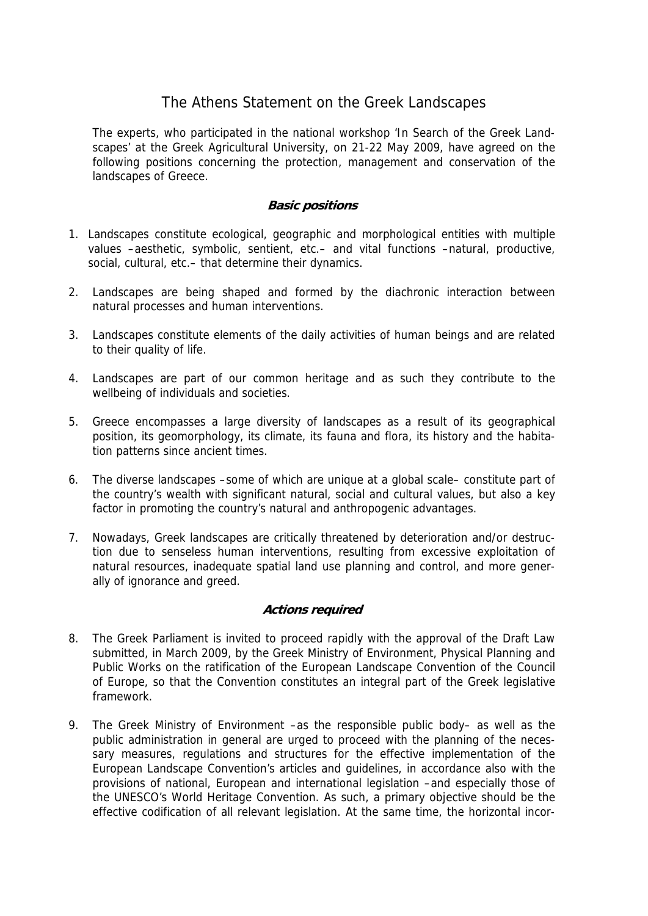## The Athens Statement on the Greek Landscapes

The experts, who participated in the national workshop 'In Search of the Greek Landscapes' at the Greek Agricultural University, on 21-22 May 2009, have agreed on the following positions concerning the protection, management and conservation of the landscapes of Greece.

## **Basic positions**

- 1. Landscapes constitute ecological, geographic and morphological entities with multiple values –aesthetic, symbolic, sentient, etc.– and vital functions –natural, productive, social, cultural, etc.– that determine their dynamics.
- 2. Landscapes are being shaped and formed by the diachronic interaction between natural processes and human interventions.
- 3. Landscapes constitute elements of the daily activities of human beings and are related to their quality of life.
- 4. Landscapes are part of our common heritage and as such they contribute to the wellbeing of individuals and societies.
- 5. Greece encompasses a large diversity of landscapes as a result of its geographical position, its geomorphology, its climate, its fauna and flora, its history and the habitation patterns since ancient times.
- 6. The diverse landscapes –some of which are unique at a global scale– constitute part of the country's wealth with significant natural, social and cultural values, but also a key factor in promoting the country's natural and anthropogenic advantages.
- 7. Nowadays, Greek landscapes are critically threatened by deterioration and/or destruction due to senseless human interventions, resulting from excessive exploitation of natural resources, inadequate spatial land use planning and control, and more generally of ignorance and greed.

## **Actions required**

- 8. The Greek Parliament is invited to proceed rapidly with the approval of the Draft Law submitted, in March 2009, by the Greek Ministry of Environment, Physical Planning and Public Works on the ratification of the European Landscape Convention of the Council of Europe, so that the Convention constitutes an integral part of the Greek legislative framework.
- 9. The Greek Ministry of Environment –as the responsible public body– as well as the public administration in general are urged to proceed with the planning of the necessary measures, regulations and structures for the effective implementation of the European Landscape Convention's articles and guidelines, in accordance also with the provisions of national, European and international legislation –and especially those of the UNESCO's World Heritage Convention. As such, a primary objective should be the effective codification of all relevant legislation. At the same time, the horizontal incor-